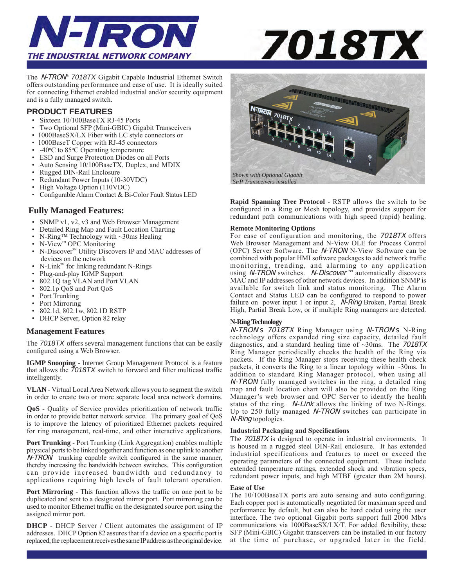



The N-TRON*® 7018TX* Gigabit Capable Industrial Ethernet Switch offers outstanding performance and ease of use. It is ideally suited for connecting Ethernet enabled industrial and/or security equipment and is a fully managed switch.

### **PRODUCT FEATURES**

- Sixteen 10/100BaseTX RJ-45 Ports
- Two Optional SFP (Mini-GBIC) Gigabit Transceivers
- 1000BaseSX/LX Fiber with LC style connectors or
- 1000BaseT Copper with RJ-45 connectors
- $-40^{\circ}$ C to 85 $\circ$ C Operating temperature
- ESD and Surge Protection Diodes on all Ports
- Auto Sensing 10/100BaseTX, Duplex, and MDIX
- Rugged DIN-Rail Enclosure
- Redundant Power Inputs (10-30VDC)
- High Voltage Option (110VDC)
- Configurable Alarm Contact & Bi-Color Fault Status LED

### **Fully Managed Features:**

- SNMP v1, v2, v3 and Web Browser Management
- Detailed Ring Map and Fault Location Charting
- N-Ring™ Technology with ~30ms Healing
- N-View™ OPC Monitoring
- N-Discover™ Utility Discovers IP and MAC addresses of devices on the network
- N-Link™ for linking redundant N-Rings
- Plug-and-play IGMP Support
- $802.1Q$  tag VLAN and Port VLAN<br>•  $802.1p$  OoS and Port OoS
- 802.1p QoS and Port QoS
- Port Trunking
- Port Mirroring
- 802.1d, 802.1w, 802.1D RSTP
- DHCP Server, Option 82 relay

### **Management Features**

The *7018TX* offers several management functions that can be easily configured using a Web Browser.

**IGMP Snooping** - Internet Group Management Protocol is a feature that allows the *7018TX* switch to forward and filter multicast traffic intelligently.

**VLAN** - Virtual Local Area Network allows you to segment the switch in order to create two or more separate local area network domains.

**QoS** - Quality of Service provides prioritization of network traffic in order to provide better network service. The primary goal of QoS is to improve the latency of prioritized Ethernet packets required for ring management, real-time, and other interactive applications.

**Port Trunking** - Port Trunking (Link Aggregation) enables multiple physical ports to be linked together and function as one uplink to another N-TRON trunking capable switch configured in the same manner, thereby increasing the bandwidth between switches. This configuration can provide increased bandwidth and redundancy to applications requiring high levels of fault tolerant operation.

**Port Mirroring - This function allows the traffic on one port to be** duplicated and sent to a designated mirror port. Port mirroring can be used to monitor Ethernet traffic on the designated source port using the assigned mirror port.

**DHCP** - DHCP Server / Client automates the assignment of IP addresses. DHCP Option 82 assures that if a device on a specific port is replaced, the replacement receives the same IP address as the original device.



**Rapid Spanning Tree Protocol -** RSTP allows the switch to be configured in a Ring or Mesh topology, and provides support for redundant path communications with high speed (rapid) healing.

### **Remote Monitoring Options**

For ease of configuration and monitoring, the 7018TX offers Web Browser Management and N-View OLE for Process Control (OPC) Server Software. The N-TRON N-View Software can be combined with popular HMI software packages to add network traffic monitoring, trending, and alarming to any application using *N-TRON* switches. *N-Discover™* automatically discovers MAC and IP addresses of other network devices. In addition SNMP is available for switch link and status monitoring. The Alarm Contact and Status LED can be configured to respond to power failure on power input 1 or input 2, *N-Ring* Broken, Partial Break High, Partial Break Low, or if multiple Ring managers are detected.

### **N-Ring Technology**

N-TRON's 7018TX Ring Manager using N-TRON's N-Ring technology offers expanded ring size capacity, detailed fault diagnostics, and a standard healing time of ~30ms. The 7018TX Ring Manager periodically checks the health of the Ring via packets. If the Ring Manager stops receiving these health check packets, it converts the Ring to a linear topology within ~30ms. In addition to standard Ring Manager protocol, when using all N-TRON fully managed switches in the ring, a detailed ring map and fault location chart will also be provided on the Ring Manager's web browser and OPC Server to identfy the health status of the ring. N-Link allows the linking of two N-Rings. Up to 250 fully managed N-TRON switches can participate in N-Ring topologies.

### **Industrial Packaging and Specifications**

The 7018TX is designed to operate in industrial environments. It is housed in a rugged steel DIN-Rail enclosure. It has extended industrial specifications and features to meet or exceed the operating parameters of the connected equipment. These include extended temperature ratings, extended shock and vibration specs, redundant power inputs, and high MTBF (greater than 2M hours).

#### **Ease of Use**

The 10/100BaseTX ports are auto sensing and auto configuring. Each copper port is automatically negotiated for maximum speed and performance by default, but can also be hard coded using the user interface. The two optional Gigabit ports support full 2000 Mb/s communications via 1000BaseSX/LX/T. For added flexibility, these SFP (Mini-GBIC) Gigabit transceivers can be installed in our factory at the time of purchase, or upgraded later in the field.